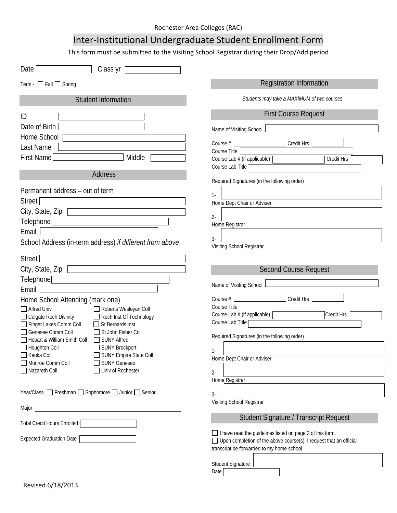## Inter-Institutional Undergraduate Student Enrollment Form

This form must be submitted to the Visiting School Registrar during their Drop/Add period

| Class yr<br>Date                                                                                                                                                                                                                                                                                                                                                                                                                                                                                                |                                                                                                                                                                                                                                                                                                    |
|-----------------------------------------------------------------------------------------------------------------------------------------------------------------------------------------------------------------------------------------------------------------------------------------------------------------------------------------------------------------------------------------------------------------------------------------------------------------------------------------------------------------|----------------------------------------------------------------------------------------------------------------------------------------------------------------------------------------------------------------------------------------------------------------------------------------------------|
| Term - $\Box$ Fall $\Box$ Spring                                                                                                                                                                                                                                                                                                                                                                                                                                                                                | <b>Registration Information</b>                                                                                                                                                                                                                                                                    |
| <b>Student Information</b>                                                                                                                                                                                                                                                                                                                                                                                                                                                                                      | Students may take a MAXIMUM of two courses                                                                                                                                                                                                                                                         |
| ID<br>Date of Birth<br>Home School<br>Last Name<br>First Name<br>Middle<br>Address                                                                                                                                                                                                                                                                                                                                                                                                                              | <b>First Course Request</b><br>Name of Visiting School<br>Credit Hrs<br>Course #<br>Course Title<br>Course Lab # (if applicable)<br>Credit Hrs<br>Course Lab Title                                                                                                                                 |
| Permanent address - out of term<br><b>Street</b><br>City, State, Zip<br>Telephone<br>Email<br>School Address (in-term address) if different from above                                                                                                                                                                                                                                                                                                                                                          | Required Signatures (in the following order)<br>$1 -$<br>Home Dept Chair or Adviser<br>$2 -$<br>Home Registrar<br>$3-$<br>Visiting School Registrar                                                                                                                                                |
| Street<br>City, State, Zip<br>Telephone <sup>[</sup><br>Email<br>Home School Attending (mark one)<br>Alfred Univ<br>Roberts Wesleyan Coll<br>Colgate Roch Divinity<br>Roch Inst Of Technology<br>Finger Lakes Comm Coll<br>St Bernards Inst<br>Genesee Comm Coll<br>St John Fisher Coll<br>Hobart & William Smith Coll<br>SUNY Alfred<br>SUNY Brockport<br>$\Box$ Houghton Coll<br>$\Box$ Keuka Coll<br>SUNY Empire State Coll<br>Monroe Comm Coll<br><b>SUNY Geneseo</b><br>Nazareth Coll<br>Univ of Rochester | <b>Second Course Request</b><br>Name of Visiting School<br>Course #<br>Credit Hrs<br>Course Title<br>Course Lab # (if applicable)<br><b>Credit Hrs</b><br>Course Lab Title<br>Required Signatures (in the following order)<br>$1-$<br>Home Dept Chair or Adviser<br>$2 -$<br>Home Registrar        |
| Year/Class □ Freshman □ Sophomore □ Junior □ Senior<br>Major<br>Total Credit Hours Enrolled [<br>Expected Graduation Date                                                                                                                                                                                                                                                                                                                                                                                       | $3-$<br>Visiting School Registrar<br>Student Signature / Transcript Request<br>□ I have read the guidelines listed on page 2 of this form.<br>$\Box$ Upon completion of the above course(s), I request that an official<br>transcript be forwarded to my home school.<br>Student Signature<br>Date |